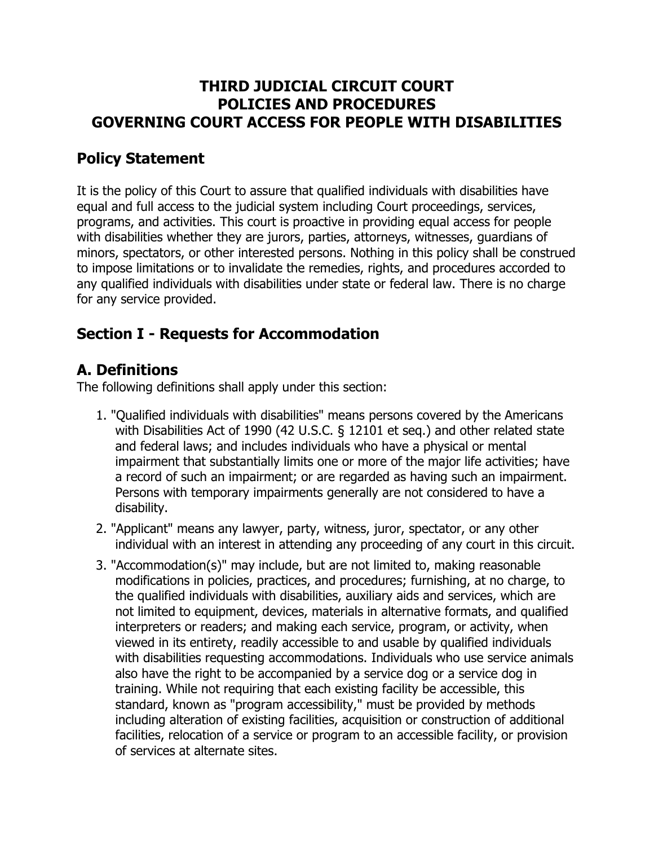### **THIRD JUDICIAL CIRCUIT COURT POLICIES AND PROCEDURES GOVERNING COURT ACCESS FOR PEOPLE WITH DISABILITIES**

## **Policy Statement**

It is the policy of this Court to assure that qualified individuals with disabilities have equal and full access to the judicial system including Court proceedings, services, programs, and activities. This court is proactive in providing equal access for people with disabilities whether they are jurors, parties, attorneys, witnesses, guardians of minors, spectators, or other interested persons. Nothing in this policy shall be construed to impose limitations or to invalidate the remedies, rights, and procedures accorded to any qualified individuals with disabilities under state or federal law. There is no charge for any service provided.

## **Section I - Requests for Accommodation**

## **A. Definitions**

The following definitions shall apply under this section:

- 1. "Qualified individuals with disabilities" means persons covered by the Americans with Disabilities Act of 1990 (42 U.S.C. § 12101 et seq.) and other related state and federal laws; and includes individuals who have a physical or mental impairment that substantially limits one or more of the major life activities; have a record of such an impairment; or are regarded as having such an impairment. Persons with temporary impairments generally are not considered to have a disability.
- 2. "Applicant" means any lawyer, party, witness, juror, spectator, or any other individual with an interest in attending any proceeding of any court in this circuit.
- 3. "Accommodation(s)" may include, but are not limited to, making reasonable modifications in policies, practices, and procedures; furnishing, at no charge, to the qualified individuals with disabilities, auxiliary aids and services, which are not limited to equipment, devices, materials in alternative formats, and qualified interpreters or readers; and making each service, program, or activity, when viewed in its entirety, readily accessible to and usable by qualified individuals with disabilities requesting accommodations. Individuals who use service animals also have the right to be accompanied by a service dog or a service dog in training. While not requiring that each existing facility be accessible, this standard, known as "program accessibility," must be provided by methods including alteration of existing facilities, acquisition or construction of additional facilities, relocation of a service or program to an accessible facility, or provision of services at alternate sites.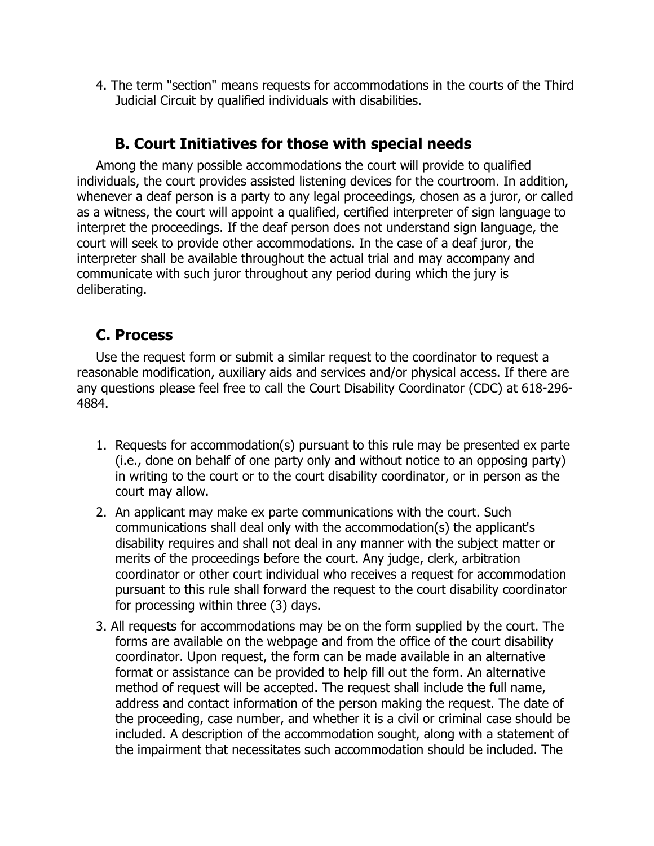4. The term "section" means requests for accommodations in the courts of the Third Judicial Circuit by qualified individuals with disabilities.

### **B. Court Initiatives for those with special needs**

Among the many possible accommodations the court will provide to qualified individuals, the court provides assisted listening devices for the courtroom. In addition, whenever a deaf person is a party to any legal proceedings, chosen as a juror, or called as a witness, the court will appoint a qualified, certified interpreter of sign language to interpret the proceedings. If the deaf person does not understand sign language, the court will seek to provide other accommodations. In the case of a deaf juror, the interpreter shall be available throughout the actual trial and may accompany and communicate with such juror throughout any period during which the jury is deliberating.

## **C. Process**

Use the request form or submit a similar request to the coordinator to request a reasonable modification, auxiliary aids and services and/or physical access. If there are any questions please feel free to call the Court Disability Coordinator (CDC) at 618-296- 4884.

- 1. Requests for accommodation(s) pursuant to this rule may be presented ex parte (i.e., done on behalf of one party only and without notice to an opposing party) in writing to the court or to the court disability coordinator, or in person as the court may allow.
- 2. An applicant may make ex parte communications with the court. Such communications shall deal only with the accommodation(s) the applicant's disability requires and shall not deal in any manner with the subject matter or merits of the proceedings before the court. Any judge, clerk, arbitration coordinator or other court individual who receives a request for accommodation pursuant to this rule shall forward the request to the court disability coordinator for processing within three (3) days.
- 3. All requests for accommodations may be on the form supplied by the court. The forms are available on the webpage and from the office of the court disability coordinator. Upon request, the form can be made available in an alternative format or assistance can be provided to help fill out the form. An alternative method of request will be accepted. The request shall include the full name, address and contact information of the person making the request. The date of the proceeding, case number, and whether it is a civil or criminal case should be included. A description of the accommodation sought, along with a statement of the impairment that necessitates such accommodation should be included. The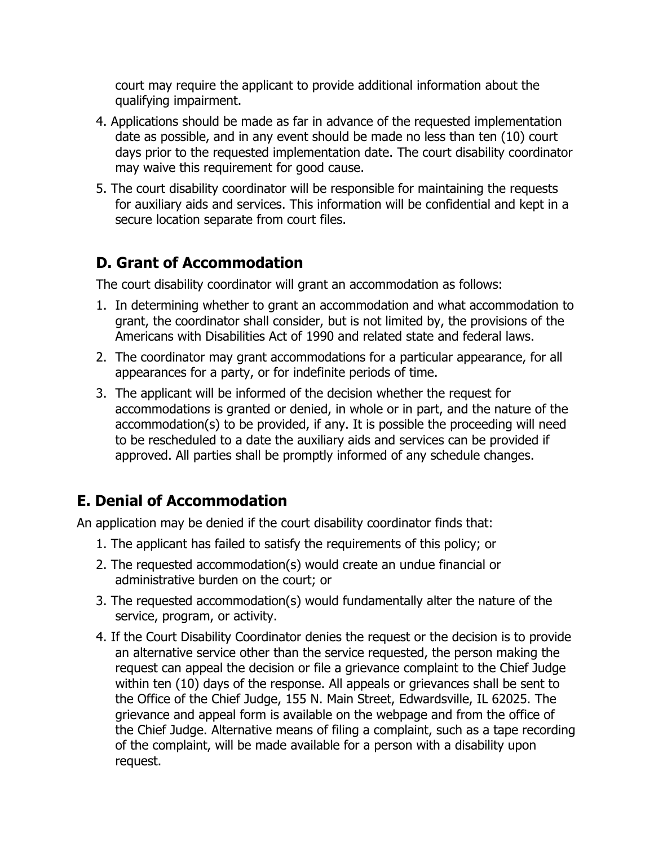court may require the applicant to provide additional information about the qualifying impairment.

- 4. Applications should be made as far in advance of the requested implementation date as possible, and in any event should be made no less than ten (10) court days prior to the requested implementation date. The court disability coordinator may waive this requirement for good cause.
- 5. The court disability coordinator will be responsible for maintaining the requests for auxiliary aids and services. This information will be confidential and kept in a secure location separate from court files.

## **D. Grant of Accommodation**

The court disability coordinator will grant an accommodation as follows:

- 1. In determining whether to grant an accommodation and what accommodation to grant, the coordinator shall consider, but is not limited by, the provisions of the Americans with Disabilities Act of 1990 and related state and federal laws.
- 2. The coordinator may grant accommodations for a particular appearance, for all appearances for a party, or for indefinite periods of time.
- 3. The applicant will be informed of the decision whether the request for accommodations is granted or denied, in whole or in part, and the nature of the accommodation(s) to be provided, if any. It is possible the proceeding will need to be rescheduled to a date the auxiliary aids and services can be provided if approved. All parties shall be promptly informed of any schedule changes.

# **E. Denial of Accommodation**

An application may be denied if the court disability coordinator finds that:

- 1. The applicant has failed to satisfy the requirements of this policy; or
- 2. The requested accommodation(s) would create an undue financial or administrative burden on the court; or
- 3. The requested accommodation(s) would fundamentally alter the nature of the service, program, or activity.
- 4. If the Court Disability Coordinator denies the request or the decision is to provide an alternative service other than the service requested, the person making the request can appeal the decision or file a grievance complaint to the Chief Judge within ten (10) days of the response. All appeals or grievances shall be sent to the Office of the Chief Judge, 155 N. Main Street, Edwardsville, IL 62025. The grievance and appeal form is available on the webpage and from the office of the Chief Judge. Alternative means of filing a complaint, such as a tape recording of the complaint, will be made available for a person with a disability upon request.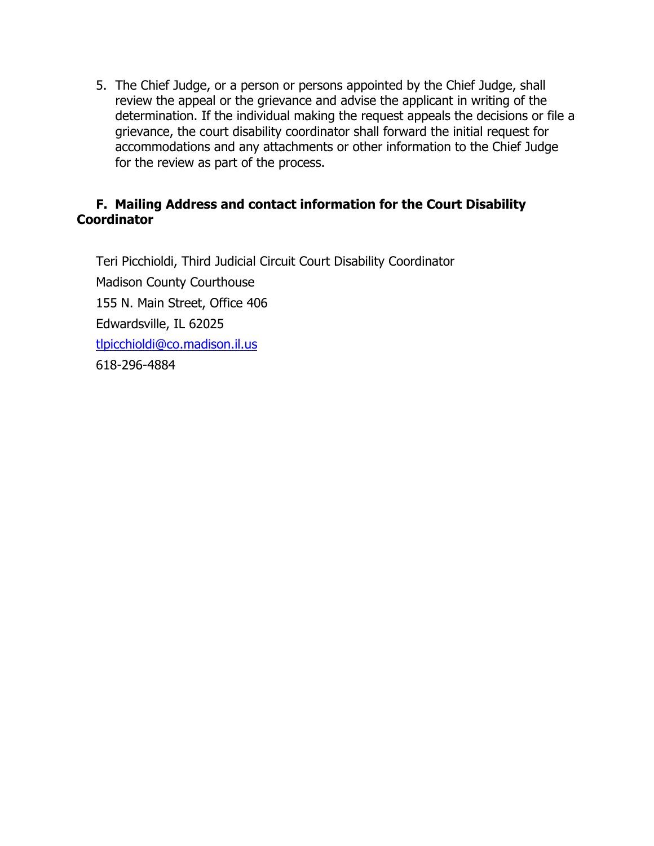5. The Chief Judge, or a person or persons appointed by the Chief Judge, shall review the appeal or the grievance and advise the applicant in writing of the determination. If the individual making the request appeals the decisions or file a grievance, the court disability coordinator shall forward the initial request for accommodations and any attachments or other information to the Chief Judge for the review as part of the process.

### **F. Mailing Address and contact information for the Court Disability Coordinator**

Teri Picchioldi, Third Judicial Circuit Court Disability Coordinator Madison County Courthouse 155 N. Main Street, Office 406 Edwardsville, IL 62025 [tlpicchioldi@co.madison.il.us](mailto:tlpicchioldi@co.madison.il.us) 618-296-4884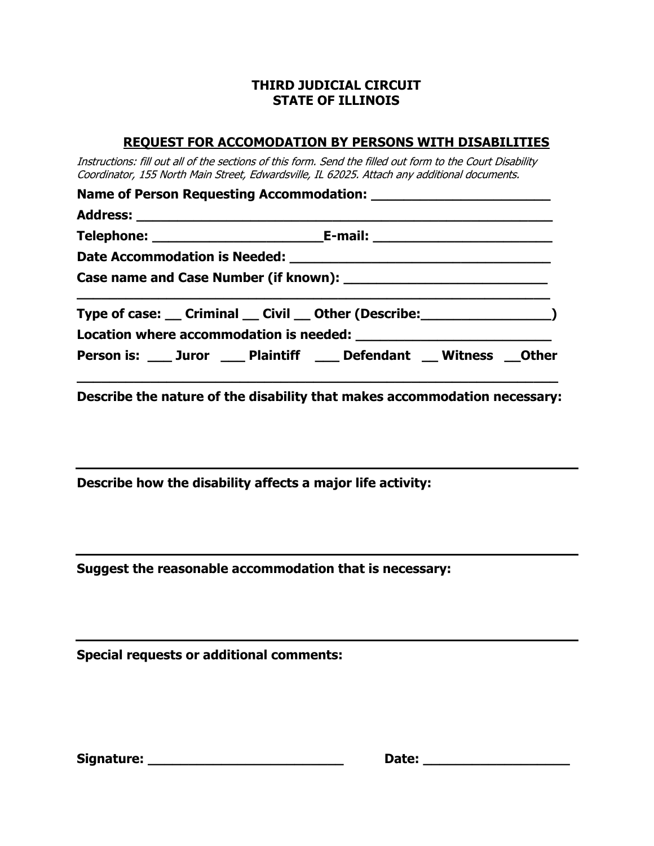### **THIRD JUDICIAL CIRCUIT STATE OF ILLINOIS**

#### **REQUEST FOR ACCOMODATION BY PERSONS WITH DISABILITIES**

Instructions: fill out all of the sections of this form. Send the filled out form to the Court Disability Coordinator, 155 North Main Street, Edwardsville, IL 62025. Attach any additional documents.

|  | Type of case: __ Criminal __ Civil __ Other (Describe: ____________________) |  |  |  |
|--|------------------------------------------------------------------------------|--|--|--|
|  | Person is: ____ Juror ____ Plaintiff ____ Defendant __ Witness __Other       |  |  |  |

**Describe the nature of the disability that makes accommodation necessary:**

**Describe how the disability affects a major life activity:**

**Suggest the reasonable accommodation that is necessary:**

**Special requests or additional comments:**

| <b>Signature:</b> |  |
|-------------------|--|
|-------------------|--|